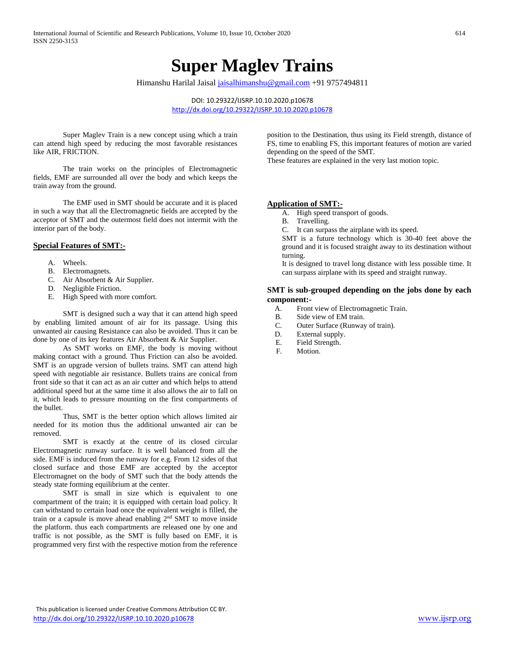# **Super Maglev Trains**

Himanshu Harilal Jaisal [jaisalhimanshu@gmail.com](mailto:jaisalhimanshu@gmail.com) +91 9757494811

DOI: 10.29322/IJSRP.10.10.2020.p10678 <http://dx.doi.org/10.29322/IJSRP.10.10.2020.p10678>

Super Maglev Train is a new concept using which a train can attend high speed by reducing the most favorable resistances like AIR, FRICTION.

The train works on the principles of Electromagnetic fields, EMF are surrounded all over the body and which keeps the train away from the ground.

The EMF used in SMT should be accurate and it is placed in such a way that all the Electromagnetic fields are accepted by the acceptor of SMT and the outermost field does not intermit with the interior part of the body.

#### **Special Features of SMT:-**

- A. Wheels.
- B. Electromagnets.
- C. Air Absorbent & Air Supplier.
- D. Negligible Friction.
- E. High Speed with more comfort.

SMT is designed such a way that it can attend high speed by enabling limited amount of air for its passage. Using this unwanted air causing Resistance can also be avoided. Thus it can be done by one of its key features Air Absorbent & Air Supplier.

As SMT works on EMF, the body is moving without making contact with a ground. Thus Friction can also be avoided. SMT is an upgrade version of bullets trains. SMT can attend high speed with negotiable air resistance. Bullets trains are conical from front side so that it can act as an air cutter and which helps to attend additional speed but at the same time it also allows the air to fall on it, which leads to pressure mounting on the first compartments of the bullet.

Thus, SMT is the better option which allows limited air needed for its motion thus the additional unwanted air can be removed.

SMT is exactly at the centre of its closed circular Electromagnetic runway surface. It is well balanced from all the side. EMF is induced from the runway for e.g. From 12 sides of that closed surface and those EMF are accepted by the acceptor Electromagnet on the body of SMT such that the body attends the steady state forming equilibrium at the center.

SMT is small in size which is equivalent to one compartment of the train; it is equipped with certain load policy. It can withstand to certain load once the equivalent weight is filled, the train or a capsule is move ahead enabling 2<sup>nd</sup> SMT to move inside the platform. thus each compartments are released one by one and traffic is not possible, as the SMT is fully based on EMF, it is programmed very first with the respective motion from the reference

position to the Destination, thus using its Field strength, distance of FS, time to enabling FS, this important features of motion are varied depending on the speed of the SMT.

These features are explained in the very last motion topic.

#### **Application of SMT:-**

- A. High speed transport of goods.
- B. Travelling.

C. It can surpass the airplane with its speed.

SMT is a future technology which is 30-40 feet above the ground and it is focused straight away to its destination without turning.

It is designed to travel long distance with less possible time. It can surpass airplane with its speed and straight runway.

#### **SMT is sub-grouped depending on the jobs done by each component:-**

- A. Front view of Electromagnetic Train.
- B. Side view of EM train.<br>C. Outer Surface (Runway
- Outer Surface (Runway of train).
- D. External supply.
- E. Field Strength.
- F. Motion.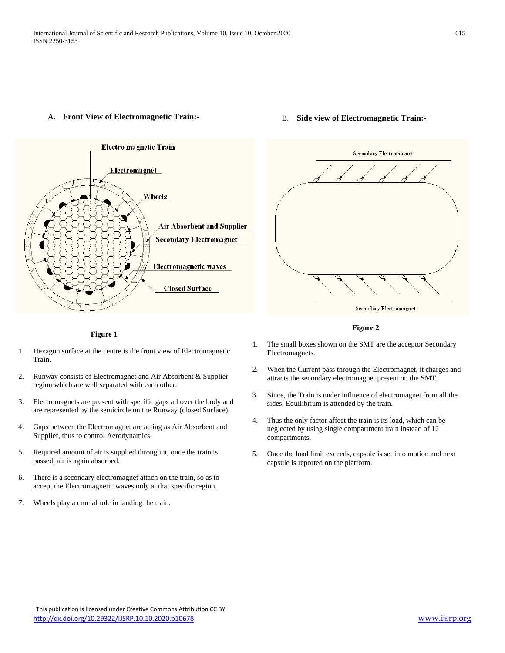#### **A. Front View of Electromagnetic Train:-**



### B. **Side view of Electromagnetic Train:-**



 **Figure 2**

#### **Figure 1**

- 1. Hexagon surface at the centre is the front view of Electromagnetic Train.
- 2. Runway consists of Electromagnet and Air Absorbent & Supplier region which are well separated with each other.
- 3. Electromagnets are present with specific gaps all over the body and are represented by the semicircle on the Runway (closed Surface).
- 4. Gaps between the Electromagnet are acting as Air Absorbent and Supplier, thus to control Aerodynamics.
- 5. Required amount of air is supplied through it, once the train is passed, air is again absorbed.
- 6. There is a secondary electromagnet attach on the train, so as to accept the Electromagnetic waves only at that specific region.
- 7. Wheels play a crucial role in landing the train.
- 1. The small boxes shown on the SMT are the acceptor Secondary Electromagnets.
- 2. When the Current pass through the Electromagnet, it charges and attracts the secondary electromagnet present on the SMT.
- 3. Since, the Train is under influence of electromagnet from all the sides, Equilibrium is attended by the train.
- 4. Thus the only factor affect the train is its load, which can be neglected by using single compartment train instead of 12 compartments.
- 5. Once the load limit exceeds, capsule is set into motion and next capsule is reported on the platform.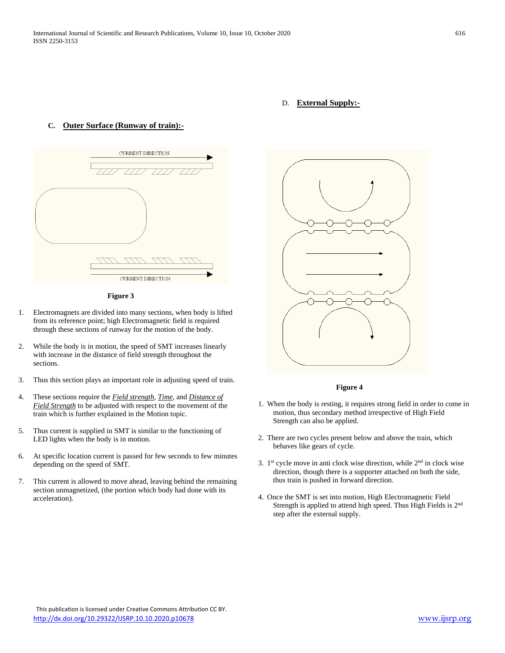### D. **External Supply:-**

#### **C. Outer Surface (Runway of train):-**



**Figure 3**

- 1. Electromagnets are divided into many sections, when body is lifted from its reference point; high Electromagnetic field is required through these sections of runway for the motion of the body.
- 2. While the body is in motion, the speed of SMT increases linearly with increase in the distance of field strength throughout the sections.
- 3. Thus this section plays an important role in adjusting speed of train.
- 4. These sections require the *Field strength, Time,* and *Distance of Field Strength* to be adjusted with respect to the movement of the train which is further explained in the Motion topic.
- 5. Thus current is supplied in SMT is similar to the functioning of LED lights when the body is in motion.
- 6. At specific location current is passed for few seconds to few minutes depending on the speed of SMT.
- 7. This current is allowed to move ahead, leaving behind the remaining section unmagnetized, (the portion which body had done with its acceleration).



#### **Figure 4**

- 1. When the body is resting, it requires strong field in order to come in motion, thus secondary method irrespective of High Field Strength can also be applied.
- 2. There are two cycles present below and above the train, which behaves like gears of cycle.
- 3.  $1<sup>st</sup>$  cycle move in anti clock wise direction, while  $2<sup>nd</sup>$  in clock wise direction, though there is a supporter attached on both the side, thus train is pushed in forward direction.
- 4. Once the SMT is set into motion, High Electromagnetic Field Strength is applied to attend high speed. Thus High Fields is 2nd step after the external supply.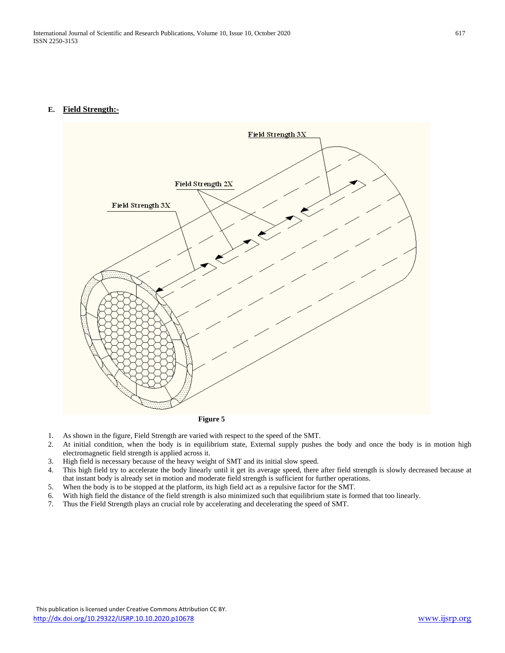## **E. Field Strength:-**



- **Figure 5**
- 1. As shown in the figure, Field Strength are varied with respect to the speed of the SMT.
- 2. At initial condition, when the body is in equilibrium state, External supply pushes the body and once the body is in motion high electromagnetic field strength is applied across it.
- 3. High field is necessary because of the heavy weight of SMT and its initial slow speed.
- 4. This high field try to accelerate the body linearly until it get its average speed, there after field strength is slowly decreased because at that instant body is already set in motion and moderate field strength is sufficient for further operations.
- 
- 5. When the body is to be stopped at the platform, its high field act as a repulsive factor for the SMT.<br>6. With high field the distance of the field strength is also minimized such that equilibrium state is for 6. With high field the distance of the field strength is also minimized such that equilibrium state is formed that too linearly.
- 7. Thus the Field Strength plays an crucial role by accelerating and decelerating the speed of SMT.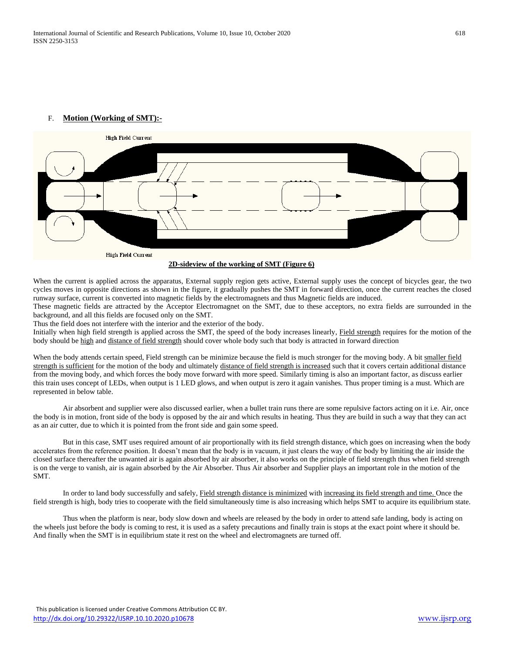## F. **Motion (Working of SMT):-**



When the current is applied across the apparatus, External supply region gets active, External supply uses the concept of bicycles gear, the two cycles moves in opposite directions as shown in the figure, it gradually pushes the SMT in forward direction, once the current reaches the closed runway surface, current is converted into magnetic fields by the electromagnets and thus Magnetic fields are induced.

These magnetic fields are attracted by the Acceptor Electromagnet on the SMT, due to these acceptors, no extra fields are surrounded in the background, and all this fields are focused only on the SMT.

Thus the field does not interfere with the interior and the exterior of the body.

Initially when high field strength is applied across the SMT, the speed of the body increases linearly, **Field strength** requires for the motion of the body should be high and distance of field strength should cover whole body such that body is attracted in forward direction

When the body attends certain speed, Field strength can be minimize because the field is much stronger for the moving body. A bit smaller field strength is sufficient for the motion of the body and ultimately distance of field strength is increased such that it covers certain additional distance from the moving body, and which forces the body move forward with more speed. Similarly timing is also an important factor, as discuss earlier this train uses concept of LEDs, when output is 1 LED glows, and when output is zero it again vanishes. Thus proper timing is a must. Which are represented in below table.

Air absorbent and supplier were also discussed earlier, when a bullet train runs there are some repulsive factors acting on it i.e. Air, once the body is in motion, front side of the body is opposed by the air and which results in heating. Thus they are build in such a way that they can act as an air cutter, due to which it is pointed from the front side and gain some speed.

But in this case, SMT uses required amount of air proportionally with its field strength distance, which goes on increasing when the body accelerates from the reference position. It doesn't mean that the body is in vacuum, it just clears the way of the body by limiting the air inside the closed surface thereafter the unwanted air is again absorbed by air absorber, it also works on the principle of field strength thus when field strength is on the verge to vanish, air is again absorbed by the Air Absorber. Thus Air absorber and Supplier plays an important role in the motion of the SMT.

In order to land body successfully and safely, Field strength distance is minimized with increasing its field strength and time. Once the field strength is high, body tries to cooperate with the field simultaneously time is also increasing which helps SMT to acquire its equilibrium state.

Thus when the platform is near, body slow down and wheels are released by the body in order to attend safe landing, body is acting on the wheels just before the body is coming to rest, it is used as a safety precautions and finally train is stops at the exact point where it should be. And finally when the SMT is in equilibrium state it rest on the wheel and electromagnets are turned off.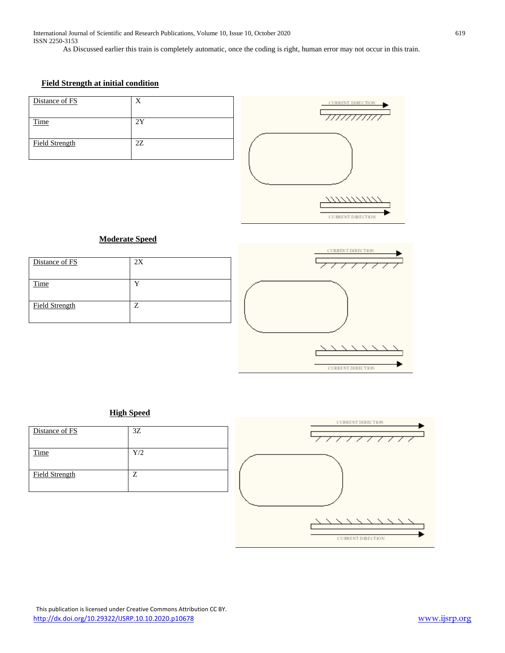As Discussed earlier this train is completely automatic, once the coding is right, human error may not occur in this train.

# **Field Strength at initial condition**

| Distance of FS        | Y   |  |
|-----------------------|-----|--|
| Time                  | 2Y  |  |
| <b>Field Strength</b> | 27. |  |



## **Moderate Speed**

| Distance of FS        | 2X |
|-----------------------|----|
| Time                  |    |
| <b>Field Strength</b> | 7  |



## **High Speed**

| Distance of FS        | 3Z  |
|-----------------------|-----|
| Time                  | Y/2 |
| <b>Field Strength</b> | Z   |